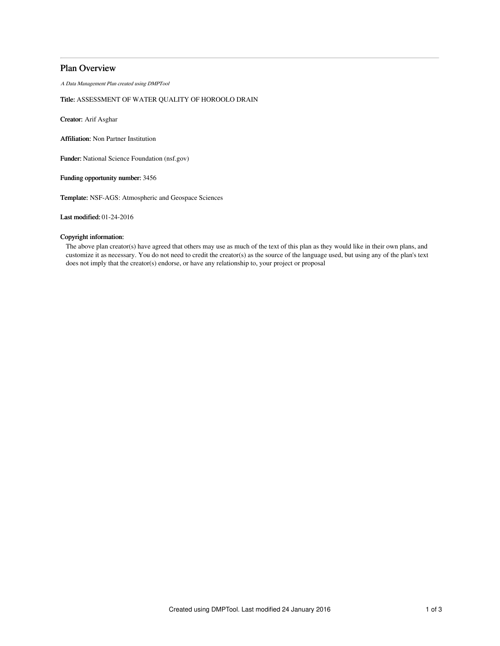# Plan Overview

A Data Management Plan created using DMPTool

# Title: ASSESSMENT OF WATER QUALITY OF HOROOLO DRAIN

Creator: Arif Asghar

Affiliation: Non Partner Institution

Funder: National Science Foundation (nsf.gov)

Funding opportunity number: 3456

Template: NSF-AGS: Atmospheric and Geospace Sciences

Last modified: 01-24-2016

# Copyright information:

The above plan creator(s) have agreed that others may use as much of the text of this plan as they would like in their own plans, and customize it as necessary. You do not need to credit the creator(s) as the source of the language used, but using any of the plan's text does not imply that the creator(s) endorse, or have any relationship to, your project or proposal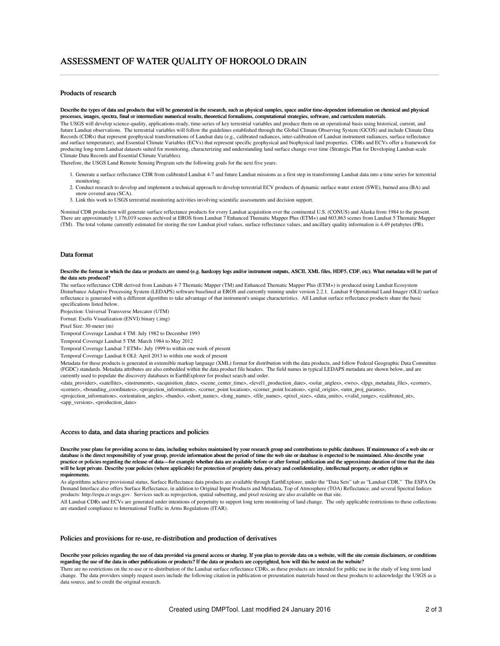## Products of research

Describe the types of data and products that will be generated in the research, such as physical samples, space and/or time-dependent information on chemical and physical processes, images, spectra, final or intermediate numerical results, theoretical formalisms, computational strategies, software, and curriculum materials. The USGS will develop science-quality, applications-ready, time-series of key terrestrial variables and produce them on an operational basis using historical, current, and future Landsat observations. The terrestrial variables will follow the guidelines established through the Global Climate Observing System (GCOS) and include Climate Data Records (CDRs) that represent geophysical transformations of Landsat data (e.g., calibrated radiances, inter-calibration of Landsat instrument radiances, surface reflectance and surface temperature), and Essential Climate Variables (ECVs) that represent specific geophysical and biophysical land properties. CDRs and ECVs offer a framework for producing long-term Landsat datasets suited for monitoring, characterizing and understanding land surface change over time (Strategic Plan for Developing Landsat-scale Climate Data Records and Essential Climate Variables).

Therefore, the USGS Land Remote Sensing Program sets the following goals for the next five years:

- 1. Generate a surface reflectance CDR from calibrated Landsat 4-7 and future Landsat missions as a first step in transforming Landsat data into a time series for terrestrial monitoring.
- 2. Conduct research to develop and implement a technical approach to develop terrestrial ECV products of dynamic surface water extent (SWE), burned area (BA) and snow covered area (SCA).
- 3. Link this work to USGS terrestrial monitoring activities involving scientific assessments and decision support.

Nominal CDR production will generate surface reflectance products for every Landsat acquisition over the continental U.S. (CONUS) and Alaska from 1984 to the present. There are approximately 1,176,019 scenes archived at EROS from Landsat 7 Enhanced Thematic Mapper Plus (ETM+) and 603,863 scenes from Landsat 5 Thematic Mapper (TM). The total volume currently estimated for storing the raw Landsat pixel values, surface reflectance values, and ancillary quality information is 4.49 petabytes (PB).

### Data format

#### Describe the format in which the data or products are stored (e.g. hardcopy logs and/or instrument outputs, ASCII, XML files, HDF5, CDF, etc). What metadata will be part of the data sets produced?

The surface reflectance CDR derived from Landsats 4-7 Thematic Mapper (TM) and Enhanced Thematic Mapper Plus (ETM+) is produced using Landsat Ecosystem Disturbance Adaptive Processing System (LEDAPS) software baselined at EROS and currently running under version 2.2.1. Landsat 8 Operational Land Imager (OLI) surface reflectance is generated with a different algorithm to take advantage of that instrument's unique characteristics. All Landsat surface reflectance products share the basic specifications listed below.

Projection: Universal Transverse Mercator (UTM)

Format: Exelis Visualization (ENVI) binary (.img)

Pixel Size: 30-meter (m)

Temporal Coverage Landsat 4 TM: July 1982 to December 1993

Temporal Coverage Landsat 5 TM: March 1984 to May 2012

Temporal Coverage Landsat 7 ETM+: July 1999 to within one week of present

Temporal Coverage Landsat 8 OLI: April 2013 to within one week of present

Metadata for these products is generated in extensible markup language (XML) format for distribution with the data products, and follow Federal Geographic Data Committee (FGDC) standards. Metadata attributes are also embedded within the data product file headers. The field names in typical LEDAPS metadata are shown below, and are currently used to populate the discovery databases in EarthExplorer for product search and order.

<data\_provider>, <satellite>, <instrument>, <acquisition\_date>, <scene\_center\_time>, <level1\_production\_date>, <solar\_angles>, <wrs>, <lpgs\_metadata\_file>, <corner>, <corner>, <bounding\_coordinates>, <projection\_information>, <corner\_point location>, <corner\_point location>, <grid\_origin>, <utm\_proj\_params>, <projection\_information>, <orientation\_angle>, <bands>, <short\_name>, <long\_name>, <file\_name>, <pixel\_size>, <data\_units>, <valid\_range>, <calibrated\_nt>, <app\_version>, <production\_date>

#### Access to data, and data sharing practices and policies

Describe your plans for providing access to data, including websites maintained by your research group and contributions to public databases. If maintenance of a web site or database is the direct responsibility of your group, provide information about the period of time the web site or database is expected to be maintained. Also describe your practice or policies regarding the release of data—for example whether data are available before or after formal publication and the approximate duration of time that the data<br>will be kept private. Describe your policies ( requirements.

As algorithms achieve provisional status, Surface Reflectance data products are available through EarthExplorer, under the "Data Sets" tab as "Landsat CDR." The ESPA On Demand Interface also offers Surface Reflectance, in addition to Original Input Products and Metadata, Top of Atmosphere (TOA) Reflectance, and several Spectral Indices products: http://espa.cr.usgs.gov. Services such as reprojection, spatial subsetting, and pixel resizing are also available on that site.

All Landsat CDRs and ECVs are generated under intentions of perpetuity to support long term monitoring of land change. The only applicable restrictions to these collections are standard compliance to International Traffic in Arms Regulations (ITAR).

### Policies and provisions for re-use, re-distribution and production of derivatives

#### Describe your policies regarding the use of data provided via general access or sharing. If you plan to provide data on a website, will the site contain disclaimers, or conditions regarding the use of the data in other publications or products? If the data or products are copyrighted, how will this be noted on the website?

There are no restrictions on the re-use or re-distribution of the Landsat surface reflectance CDRs, as these products are intended for public use in the study of long term land change. The data providers simply request users include the following citation in publication or presentation materials based on these products to acknowledge the USGS as a data source, and to credit the original research.